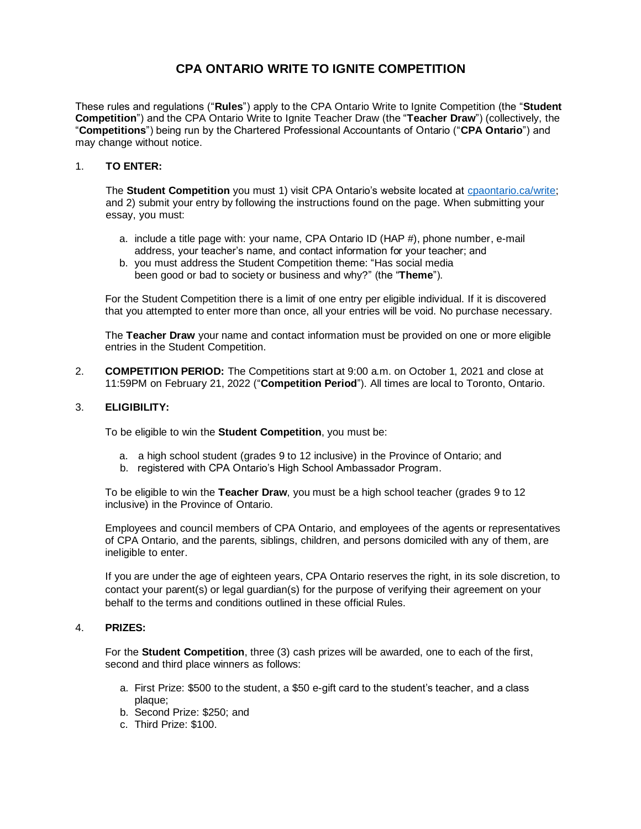# **CPA ONTARIO WRITE TO IGNITE COMPETITION**

These rules and regulations ("**Rules**") apply to the CPA Ontario Write to Ignite Competition (the "**Student Competition**") and the CPA Ontario Write to Ignite Teacher Draw (the "**Teacher Draw**") (collectively, the "**Competitions**") being run by the Chartered Professional Accountants of Ontario ("**CPA Ontario**") and may change without notice.

## 1. **TO ENTER:**

The **Student Competition** you must 1) visit CPA Ontario's website located at [cpaontario.ca/write;](https://www.cpaontario.ca/become-a-cpa/why-cpa/high-school-ambassador-program/write-to-ignite-essay-competition) and 2) submit your entry by following the instructions found on the page. When submitting your essay, you must:

- a. include a title page with: your name, CPA Ontario ID (HAP #), phone number, e-mail address, your teacher's name, and contact information for your teacher; and
- b. you must address the Student Competition theme: "Has social media been good or bad to society or business and why?" (the "**Theme**").

For the Student Competition there is a limit of one entry per eligible individual. If it is discovered that you attempted to enter more than once, all your entries will be void. No purchase necessary.

The **Teacher Draw** your name and contact information must be provided on one or more eligible entries in the Student Competition.

2. **COMPETITION PERIOD:** The Competitions start at 9:00 a.m. on October 1, 2021 and close at 11:59PM on February 21, 2022 ("**Competition Period**"). All times are local to Toronto, Ontario.

### 3. **ELIGIBILITY:**

To be eligible to win the **Student Competition**, you must be:

- a. a high school student (grades 9 to 12 inclusive) in the Province of Ontario; and
- b. registered with CPA Ontario's High School Ambassador Program.

To be eligible to win the **Teacher Draw**, you must be a high school teacher (grades 9 to 12 inclusive) in the Province of Ontario.

Employees and council members of CPA Ontario, and employees of the agents or representatives of CPA Ontario, and the parents, siblings, children, and persons domiciled with any of them, are ineligible to enter.

If you are under the age of eighteen years, CPA Ontario reserves the right, in its sole discretion, to contact your parent(s) or legal guardian(s) for the purpose of verifying their agreement on your behalf to the terms and conditions outlined in these official Rules.

# 4. **PRIZES:**

For the **Student Competition**, three (3) cash prizes will be awarded, one to each of the first, second and third place winners as follows:

- a. First Prize: \$500 to the student, a \$50 e-gift card to the student's teacher, and a class plaque;
- b. Second Prize: \$250; and
- c. Third Prize: \$100.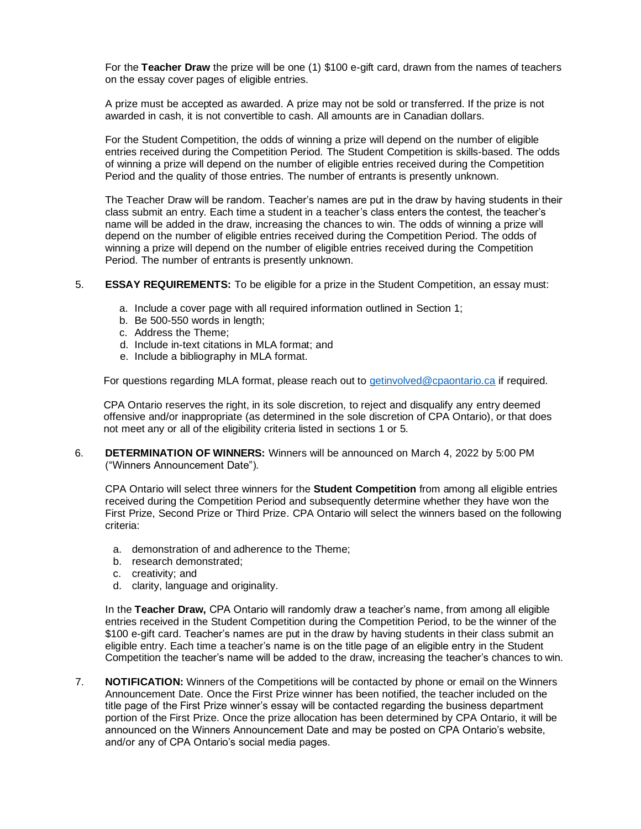For the **Teacher Draw** the prize will be one (1) \$100 e-gift card, drawn from the names of teachers on the essay cover pages of eligible entries.

A prize must be accepted as awarded. A prize may not be sold or transferred. If the prize is not awarded in cash, it is not convertible to cash. All amounts are in Canadian dollars.

For the Student Competition, the odds of winning a prize will depend on the number of eligible entries received during the Competition Period. The Student Competition is skills-based. The odds of winning a prize will depend on the number of eligible entries received during the Competition Period and the quality of those entries. The number of entrants is presently unknown.

The Teacher Draw will be random. Teacher's names are put in the draw by having students in their class submit an entry. Each time a student in a teacher's class enters the contest, the teacher's name will be added in the draw, increasing the chances to win. The odds of winning a prize will depend on the number of eligible entries received during the Competition Period. The odds of winning a prize will depend on the number of eligible entries received during the Competition Period. The number of entrants is presently unknown.

#### 5. **ESSAY REQUIREMENTS:** To be eligible for a prize in the Student Competition, an essay must:

- a. Include a cover page with all required information outlined in Section 1;
- b. Be 500-550 words in length;
- c. Address the Theme;
- d. Include in-text citations in MLA format; and
- e. Include a bibliography in MLA format.

For questions regarding MLA format, please reach out t[o getinvolved@cpaontario.ca](mailto:getinvolved@cpaontario.ca) if required.

CPA Ontario reserves the right, in its sole discretion, to reject and disqualify any entry deemed offensive and/or inappropriate (as determined in the sole discretion of CPA Ontario), or that does not meet any or all of the eligibility criteria listed in sections 1 or 5.

6. **DETERMINATION OF WINNERS:** Winners will be announced on March 4, 2022 by 5:00 PM ("Winners Announcement Date").

CPA Ontario will select three winners for the **Student Competition** from among all eligible entries received during the Competition Period and subsequently determine whether they have won the First Prize, Second Prize or Third Prize. CPA Ontario will select the winners based on the following criteria:

- a. demonstration of and adherence to the Theme;
- b. research demonstrated;
- c. creativity; and
- d. clarity, language and originality.

In the **Teacher Draw,** CPA Ontario will randomly draw a teacher's name, from among all eligible entries received in the Student Competition during the Competition Period, to be the winner of the \$100 e-gift card. Teacher's names are put in the draw by having students in their class submit an eligible entry. Each time a teacher's name is on the title page of an eligible entry in the Student Competition the teacher's name will be added to the draw, increasing the teacher's chances to win.

7. **NOTIFICATION:** Winners of the Competitions will be contacted by phone or email on the Winners Announcement Date. Once the First Prize winner has been notified, the teacher included on the title page of the First Prize winner's essay will be contacted regarding the business department portion of the First Prize. Once the prize allocation has been determined by CPA Ontario, it will be announced on the Winners Announcement Date and may be posted on CPA Ontario's website, and/or any of CPA Ontario's social media pages.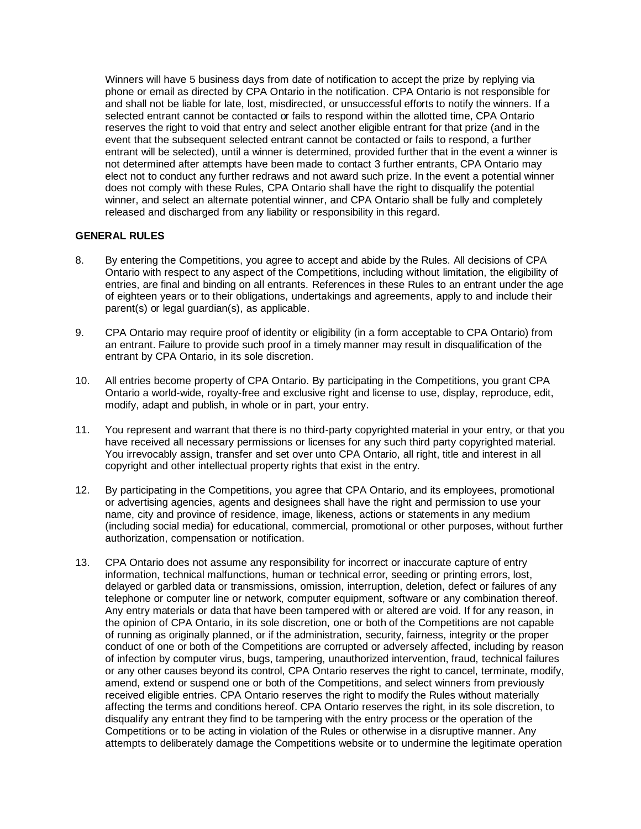Winners will have 5 business days from date of notification to accept the prize by replying via phone or email as directed by CPA Ontario in the notification. CPA Ontario is not responsible for and shall not be liable for late, lost, misdirected, or unsuccessful efforts to notify the winners. If a selected entrant cannot be contacted or fails to respond within the allotted time, CPA Ontario reserves the right to void that entry and select another eligible entrant for that prize (and in the event that the subsequent selected entrant cannot be contacted or fails to respond, a further entrant will be selected), until a winner is determined, provided further that in the event a winner is not determined after attempts have been made to contact 3 further entrants, CPA Ontario may elect not to conduct any further redraws and not award such prize. In the event a potential winner does not comply with these Rules, CPA Ontario shall have the right to disqualify the potential winner, and select an alternate potential winner, and CPA Ontario shall be fully and completely released and discharged from any liability or responsibility in this regard.

## **GENERAL RULES**

- 8. By entering the Competitions, you agree to accept and abide by the Rules. All decisions of CPA Ontario with respect to any aspect of the Competitions, including without limitation, the eligibility of entries, are final and binding on all entrants. References in these Rules to an entrant under the age of eighteen years or to their obligations, undertakings and agreements, apply to and include their parent(s) or legal guardian(s), as applicable.
- 9. CPA Ontario may require proof of identity or eligibility (in a form acceptable to CPA Ontario) from an entrant. Failure to provide such proof in a timely manner may result in disqualification of the entrant by CPA Ontario, in its sole discretion.
- 10. All entries become property of CPA Ontario. By participating in the Competitions, you grant CPA Ontario a world-wide, royalty-free and exclusive right and license to use, display, reproduce, edit, modify, adapt and publish, in whole or in part, your entry.
- 11. You represent and warrant that there is no third-party copyrighted material in your entry, or that you have received all necessary permissions or licenses for any such third party copyrighted material. You irrevocably assign, transfer and set over unto CPA Ontario, all right, title and interest in all copyright and other intellectual property rights that exist in the entry.
- 12. By participating in the Competitions, you agree that CPA Ontario, and its employees, promotional or advertising agencies, agents and designees shall have the right and permission to use your name, city and province of residence, image, likeness, actions or statements in any medium (including social media) for educational, commercial, promotional or other purposes, without further authorization, compensation or notification.
- 13. CPA Ontario does not assume any responsibility for incorrect or inaccurate capture of entry information, technical malfunctions, human or technical error, seeding or printing errors, lost, delayed or garbled data or transmissions, omission, interruption, deletion, defect or failures of any telephone or computer line or network, computer equipment, software or any combination thereof. Any entry materials or data that have been tampered with or altered are void. If for any reason, in the opinion of CPA Ontario, in its sole discretion, one or both of the Competitions are not capable of running as originally planned, or if the administration, security, fairness, integrity or the proper conduct of one or both of the Competitions are corrupted or adversely affected, including by reason of infection by computer virus, bugs, tampering, unauthorized intervention, fraud, technical failures or any other causes beyond its control, CPA Ontario reserves the right to cancel, terminate, modify, amend, extend or suspend one or both of the Competitions, and select winners from previously received eligible entries. CPA Ontario reserves the right to modify the Rules without materially affecting the terms and conditions hereof. CPA Ontario reserves the right, in its sole discretion, to disqualify any entrant they find to be tampering with the entry process or the operation of the Competitions or to be acting in violation of the Rules or otherwise in a disruptive manner. Any attempts to deliberately damage the Competitions website or to undermine the legitimate operation